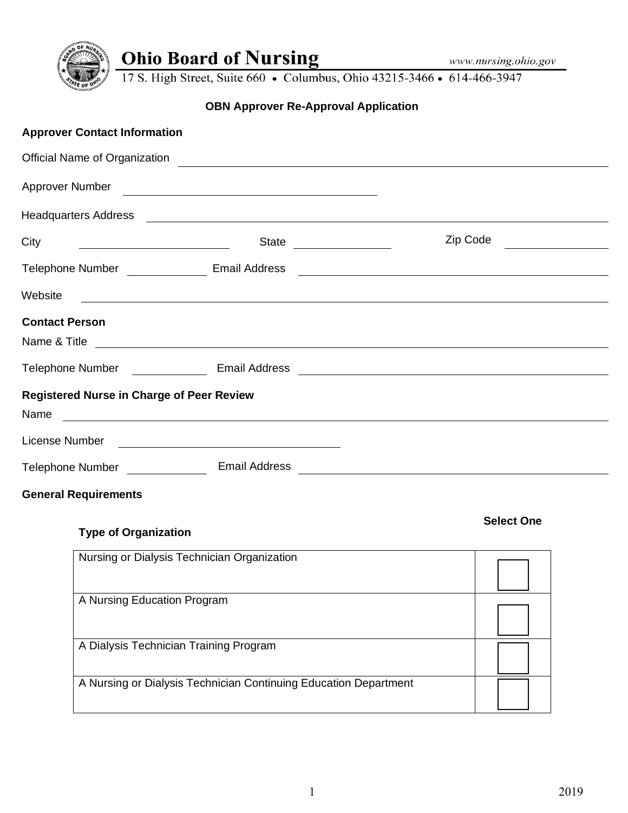

**Select One**

**Ohio Board of Nursing** www.nursing.oh<br>17 S. High Street, Suite 660 • Columbus, Ohio 43215-3466 • 614-466-3947

# **OBN Approver Re-Approval Application**

| <b>Approver Contact Information</b>              |                                                                                                                                         |                                                                                                                      |  |
|--------------------------------------------------|-----------------------------------------------------------------------------------------------------------------------------------------|----------------------------------------------------------------------------------------------------------------------|--|
|                                                  |                                                                                                                                         |                                                                                                                      |  |
|                                                  |                                                                                                                                         |                                                                                                                      |  |
|                                                  |                                                                                                                                         |                                                                                                                      |  |
| City                                             | State ________________                                                                                                                  | Zip Code                                                                                                             |  |
| Telephone Number _________________ Email Address |                                                                                                                                         | <u> Alexandria de la contrada de la contrada de la contrada de la contrada de la contrada de la contrada de la c</u> |  |
| Website                                          | <u> 1989 - Johann Stoff, amerikansk politiker (d. 1989)</u>                                                                             |                                                                                                                      |  |
| <b>Contact Person</b>                            |                                                                                                                                         |                                                                                                                      |  |
|                                                  |                                                                                                                                         |                                                                                                                      |  |
|                                                  | Telephone Number <b>Communication Communication</b> Email Address <b>Communication Communication</b> Email Address <b>Communication</b> |                                                                                                                      |  |
| <b>Registered Nurse in Charge of Peer Review</b> |                                                                                                                                         |                                                                                                                      |  |
| Name                                             | <u> 1989 - Johann Barnett, fransk politiker (d. 1989)</u>                                                                               |                                                                                                                      |  |
| License Number                                   | <u> Alexandria de la contrada de la contrada de la contrada de la contrada de la contrada de la contrada de la c</u>                    |                                                                                                                      |  |
| Telephone Number <b>Number</b>                   | <b>Email Address</b>                                                                                                                    |                                                                                                                      |  |
| <b>General Requirements</b>                      |                                                                                                                                         |                                                                                                                      |  |

## **Type of Organization**

| Nursing or Dialysis Technician Organization                      |  |
|------------------------------------------------------------------|--|
| A Nursing Education Program                                      |  |
| A Dialysis Technician Training Program                           |  |
| A Nursing or Dialysis Technician Continuing Education Department |  |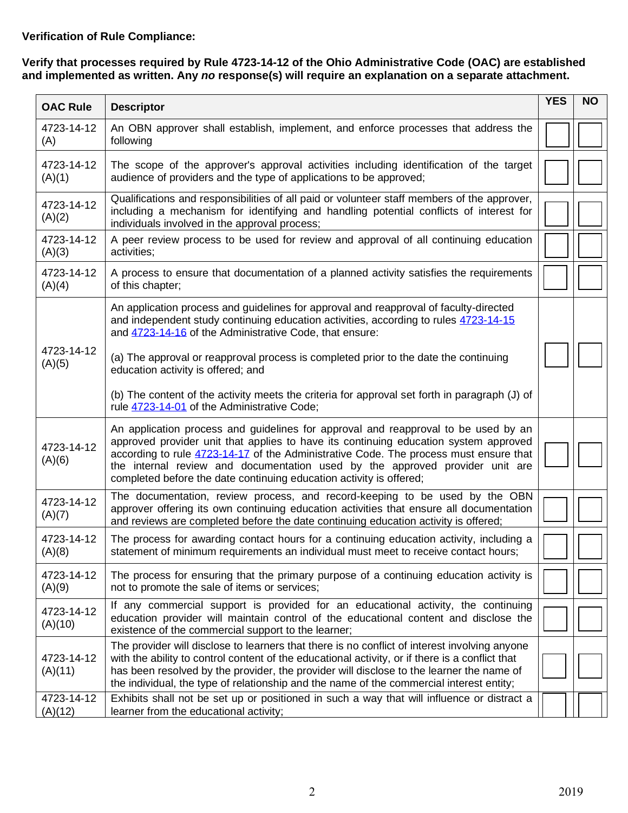## **Verification of Rule Compliance:**

#### **Verify that processes required by Rule 4723-14-12 of the Ohio Administrative Code (OAC) are established and implemented as written. Any** *no* **response(s) will require an explanation on a separate attachment.**

| <b>OAC Rule</b>       | <b>Descriptor</b>                                                                                                                                                                                                                                                                                                                                                                                                          | <b>YES</b> | <b>NO</b> |
|-----------------------|----------------------------------------------------------------------------------------------------------------------------------------------------------------------------------------------------------------------------------------------------------------------------------------------------------------------------------------------------------------------------------------------------------------------------|------------|-----------|
| 4723-14-12<br>(A)     | An OBN approver shall establish, implement, and enforce processes that address the<br>following                                                                                                                                                                                                                                                                                                                            |            |           |
| 4723-14-12<br>(A)(1)  | The scope of the approver's approval activities including identification of the target<br>audience of providers and the type of applications to be approved;                                                                                                                                                                                                                                                               |            |           |
| 4723-14-12<br>(A)(2)  | Qualifications and responsibilities of all paid or volunteer staff members of the approver,<br>including a mechanism for identifying and handling potential conflicts of interest for<br>individuals involved in the approval process;                                                                                                                                                                                     |            |           |
| 4723-14-12<br>(A)(3)  | A peer review process to be used for review and approval of all continuing education<br>activities;                                                                                                                                                                                                                                                                                                                        |            |           |
| 4723-14-12<br>(A)(4)  | A process to ensure that documentation of a planned activity satisfies the requirements<br>of this chapter;                                                                                                                                                                                                                                                                                                                |            |           |
|                       | An application process and guidelines for approval and reapproval of faculty-directed<br>and independent study continuing education activities, according to rules 4723-14-15<br>and 4723-14-16 of the Administrative Code, that ensure:                                                                                                                                                                                   |            |           |
| 4723-14-12<br>(A)(5)  | (a) The approval or reapproval process is completed prior to the date the continuing<br>education activity is offered; and                                                                                                                                                                                                                                                                                                 |            |           |
|                       | (b) The content of the activity meets the criteria for approval set forth in paragraph (J) of<br>rule 4723-14-01 of the Administrative Code;                                                                                                                                                                                                                                                                               |            |           |
| 4723-14-12<br>(A)(6)  | An application process and guidelines for approval and reapproval to be used by an<br>approved provider unit that applies to have its continuing education system approved<br>according to rule 4723-14-17 of the Administrative Code. The process must ensure that<br>the internal review and documentation used by the approved provider unit are<br>completed before the date continuing education activity is offered; |            |           |
| 4723-14-12<br>(A)(7)  | The documentation, review process, and record-keeping to be used by the OBN<br>approver offering its own continuing education activities that ensure all documentation<br>and reviews are completed before the date continuing education activity is offered;                                                                                                                                                              |            |           |
| 4723-14-12<br>(A)(8)  | The process for awarding contact hours for a continuing education activity, including a<br>statement of minimum requirements an individual must meet to receive contact hours;                                                                                                                                                                                                                                             |            |           |
| 4723-14-12<br>(A)(9)  | The process for ensuring that the primary purpose of a continuing education activity is<br>not to promote the sale of items or services;                                                                                                                                                                                                                                                                                   |            |           |
| 4723-14-12<br>(A)(10) | If any commercial support is provided for an educational activity, the continuing<br>education provider will maintain control of the educational content and disclose the<br>existence of the commercial support to the learner;                                                                                                                                                                                           |            |           |
| 4723-14-12<br>(A)(11) | The provider will disclose to learners that there is no conflict of interest involving anyone<br>with the ability to control content of the educational activity, or if there is a conflict that<br>has been resolved by the provider, the provider will disclose to the learner the name of<br>the individual, the type of relationship and the name of the commercial interest entity;                                   |            |           |
| 4723-14-12<br>(A)(12) | Exhibits shall not be set up or positioned in such a way that will influence or distract a<br>learner from the educational activity;                                                                                                                                                                                                                                                                                       |            |           |